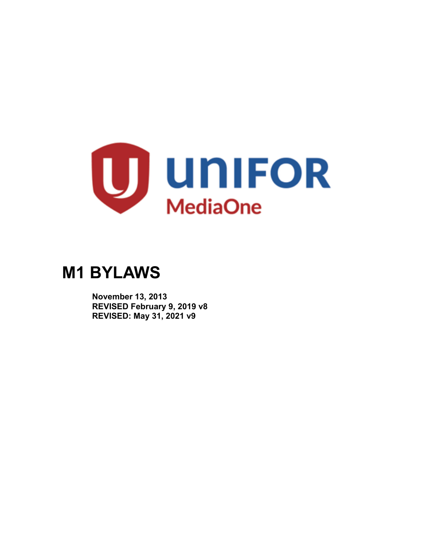

# **M1 BYLAWS**

 **November 13, 2013 REVISED February 9, 2019 v8 REVISED: May 31, 2021 v9**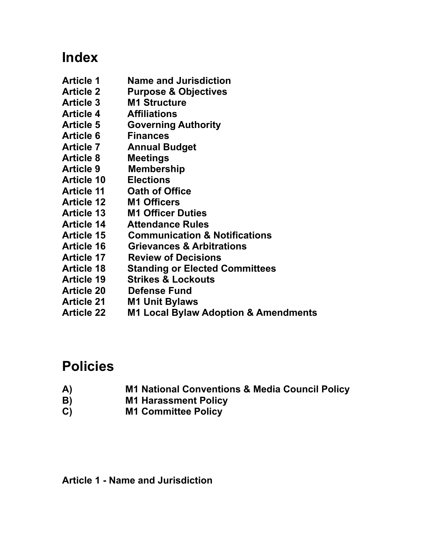## **Index**

- **Article 1 Name and Jurisdiction**
- **Article 2 Purpose & Objectives**
- **Article 3 M1 Structure**
- **Article 4 Affiliations**
- **Article 5 Governing Authority**
- **Article 6 Finances**
- **Article 7 Annual Budget**
- **Article 8 Meetings**
- **Article 9 Membership**
- **Article 10 Elections**
- **Article 11 Oath of Office**
- **Article 12 M1 Officers**
- **Article 13 M1 Officer Duties**
- **Article 14 Attendance Rules**
- **Article 15 Communication & Notifications**
- **Article 16 Grievances & Arbitrations**
- **Article 17 Review of Decisions**
- **Article 18 Standing or Elected Committees**
- **Article 19 Strikes & Lockouts**
- **Article 20 Defense Fund**
- **Article 21 M1 Unit Bylaws**
- **Article 22 M1 Local Bylaw Adoption & Amendments**

## **Policies**

- **A) M1 National Conventions & Media Council Policy**
- **B) M1 Harassment Policy**
- **C) M1 Committee Policy**

**Article 1 - Name and Jurisdiction**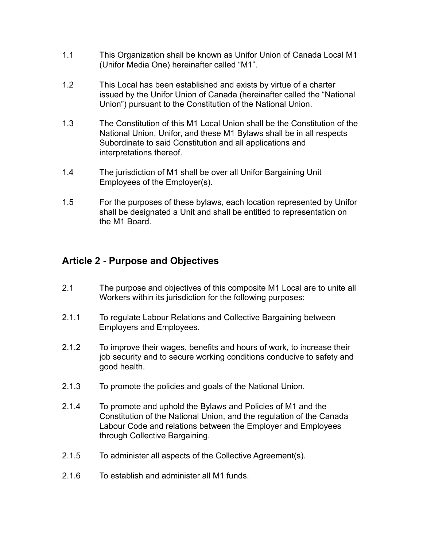- 1.1 This Organization shall be known as Unifor Union of Canada Local M1 (Unifor Media One) hereinafter called "M1".
- 1.2 This Local has been established and exists by virtue of a charter issued by the Unifor Union of Canada (hereinafter called the "National Union") pursuant to the Constitution of the National Union.
- 1.3 The Constitution of this M1 Local Union shall be the Constitution of the National Union, Unifor, and these M1 Bylaws shall be in all respects Subordinate to said Constitution and all applications and interpretations thereof.
- 1.4 The jurisdiction of M1 shall be over all Unifor Bargaining Unit Employees of the Employer(s).
- 1.5 For the purposes of these bylaws, each location represented by Unifor shall be designated a Unit and shall be entitled to representation on the M1 Board.

## **Article 2 - Purpose and Objectives**

- 2.1 The purpose and objectives of this composite M1 Local are to unite all Workers within its jurisdiction for the following purposes:
- 2.1.1 To regulate Labour Relations and Collective Bargaining between Employers and Employees.
- 2.1.2 To improve their wages, benefits and hours of work, to increase their job security and to secure working conditions conducive to safety and good health.
- 2.1.3 To promote the policies and goals of the National Union.
- 2.1.4 To promote and uphold the Bylaws and Policies of M1 and the Constitution of the National Union, and the regulation of the Canada Labour Code and relations between the Employer and Employees through Collective Bargaining.
- 2.1.5 To administer all aspects of the Collective Agreement(s).
- 2.1.6 To establish and administer all M1 funds.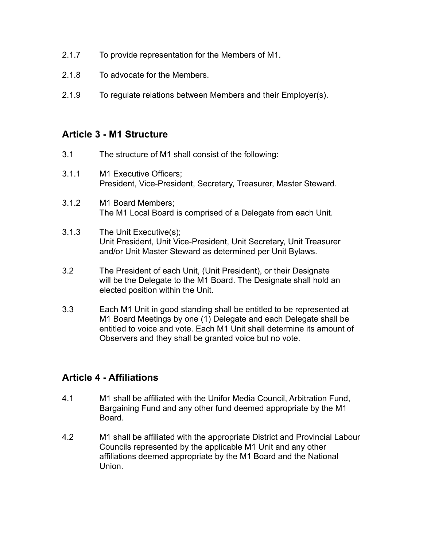- 2.1.7 To provide representation for the Members of M1.
- 2.1.8 To advocate for the Members.
- 2.1.9 To regulate relations between Members and their Employer(s).

## **Article 3 - M1 Structure**

- 3.1 The structure of M1 shall consist of the following:
- 3.1.1 M1 Executive Officers; President, Vice-President, Secretary, Treasurer, Master Steward.
- 3.1.2 M1 Board Members; The M1 Local Board is comprised of a Delegate from each Unit.
- 3.1.3 The Unit Executive(s); Unit President, Unit Vice-President, Unit Secretary, Unit Treasurer and/or Unit Master Steward as determined per Unit Bylaws.
- 3.2 The President of each Unit, (Unit President), or their Designate will be the Delegate to the M1 Board. The Designate shall hold an elected position within the Unit.
- 3.3 Each M1 Unit in good standing shall be entitled to be represented at M1 Board Meetings by one (1) Delegate and each Delegate shall be entitled to voice and vote. Each M1 Unit shall determine its amount of Observers and they shall be granted voice but no vote.

## **Article 4 - Affiliations**

- 4.1 M1 shall be affiliated with the Unifor Media Council, Arbitration Fund, Bargaining Fund and any other fund deemed appropriate by the M1 Board.
- 4.2 M1 shall be affiliated with the appropriate District and Provincial Labour Councils represented by the applicable M1 Unit and any other affiliations deemed appropriate by the M1 Board and the National Union.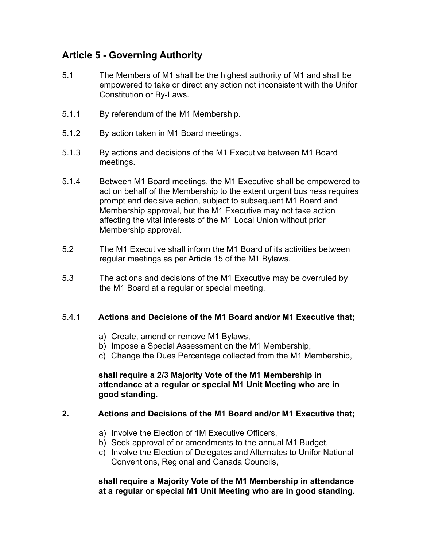## **Article 5 - Governing Authority**

- 5.1 The Members of M1 shall be the highest authority of M1 and shall be empowered to take or direct any action not inconsistent with the Unifor Constitution or By-Laws.
- 5.1.1 By referendum of the M1 Membership.
- 5.1.2 By action taken in M1 Board meetings.
- 5.1.3 By actions and decisions of the M1 Executive between M1 Board meetings.
- 5.1.4 Between M1 Board meetings, the M1 Executive shall be empowered to act on behalf of the Membership to the extent urgent business requires prompt and decisive action, subject to subsequent M1 Board and Membership approval, but the M1 Executive may not take action affecting the vital interests of the M1 Local Union without prior Membership approval.
- 5.2 The M1 Executive shall inform the M1 Board of its activities between regular meetings as per Article 15 of the M1 Bylaws.
- 5.3 The actions and decisions of the M1 Executive may be overruled by the M1 Board at a regular or special meeting.

#### 5.4.1 **Actions and Decisions of the M1 Board and/or M1 Executive that;**

- a) Create, amend or remove M1 Bylaws,
- b) Impose a Special Assessment on the M1 Membership,
- c) Change the Dues Percentage collected from the M1 Membership,

#### **shall require a 2/3 Majority Vote of the M1 Membership in attendance at a regular or special M1 Unit Meeting who are in good standing.**

### **2. Actions and Decisions of the M1 Board and/or M1 Executive that;**

- a) Involve the Election of 1M Executive Officers,
- b) Seek approval of or amendments to the annual M1 Budget,
- c) Involve the Election of Delegates and Alternates to Unifor National Conventions, Regional and Canada Councils,

#### **shall require a Majority Vote of the M1 Membership in attendance at a regular or special M1 Unit Meeting who are in good standing.**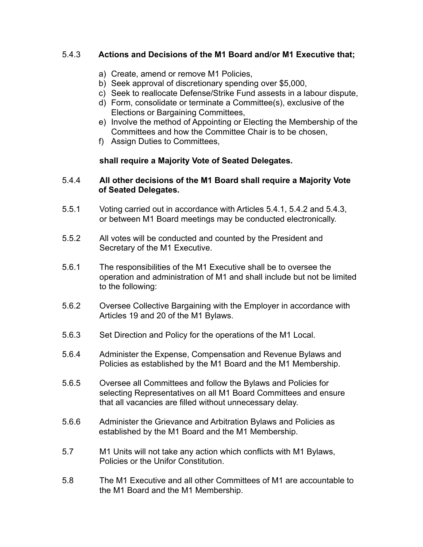### 5.4.3 **Actions and Decisions of the M1 Board and/or M1 Executive that;**

- a) Create, amend or remove M1 Policies,
- b) Seek approval of discretionary spending over \$5,000,
- c) Seek to reallocate Defense/Strike Fund assests in a labour dispute,
- d) Form, consolidate or terminate a Committee(s), exclusive of the Elections or Bargaining Committees,
- e) Involve the method of Appointing or Electing the Membership of the Committees and how the Committee Chair is to be chosen,
- f) Assign Duties to Committees,

#### **shall require a Majority Vote of Seated Delegates.**

#### 5.4.4 **All other decisions of the M1 Board shall require a Majority Vote of Seated Delegates.**

- 5.5.1 Voting carried out in accordance with Articles 5.4.1, 5.4.2 and 5.4.3, or between M1 Board meetings may be conducted electronically.
- 5.5.2 All votes will be conducted and counted by the President and Secretary of the M1 Executive.
- 5.6.1 The responsibilities of the M1 Executive shall be to oversee the operation and administration of M1 and shall include but not be limited to the following:
- 5.6.2 Oversee Collective Bargaining with the Employer in accordance with Articles 19 and 20 of the M1 Bylaws.
- 5.6.3 Set Direction and Policy for the operations of the M1 Local.
- 5.6.4 Administer the Expense, Compensation and Revenue Bylaws and Policies as established by the M1 Board and the M1 Membership.
- 5.6.5 Oversee all Committees and follow the Bylaws and Policies for selecting Representatives on all M1 Board Committees and ensure that all vacancies are filled without unnecessary delay.
- 5.6.6 Administer the Grievance and Arbitration Bylaws and Policies as established by the M1 Board and the M1 Membership.
- 5.7 M1 Units will not take any action which conflicts with M1 Bylaws, Policies or the Unifor Constitution.
- 5.8 The M1 Executive and all other Committees of M1 are accountable to the M1 Board and the M1 Membership.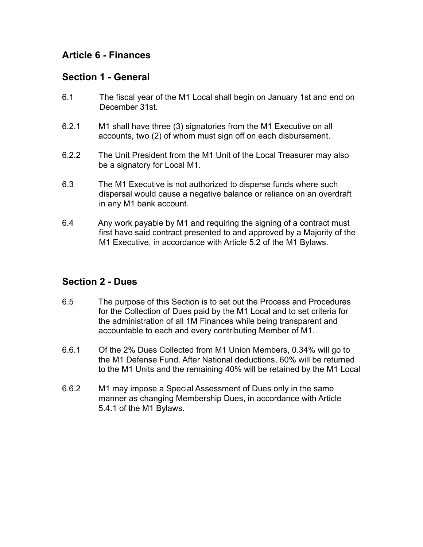## **Article 6 - Finances**

## **Section 1 - General**

- 6.1 The fiscal year of the M1 Local shall begin on January 1st and end on December 31st.
- 6.2.1 M1 shall have three (3) signatories from the M1 Executive on all accounts, two (2) of whom must sign off on each disbursement.
- 6.2.2 The Unit President from the M1 Unit of the Local Treasurer may also be a signatory for Local M1.
- 6.3 The M1 Executive is not authorized to disperse funds where such dispersal would cause a negative balance or reliance on an overdraft in any M1 bank account.
- 6.4 Any work payable by M1 and requiring the signing of a contract must first have said contract presented to and approved by a Majority of the M1 Executive, in accordance with Article 5.2 of the M1 Bylaws.

## **Section 2 - Dues**

- 6.5 The purpose of this Section is to set out the Process and Procedures for the Collection of Dues paid by the M1 Local and to set criteria for the administration of all 1M Finances while being transparent and accountable to each and every contributing Member of M1.
- 6.6.1 Of the 2% Dues Collected from M1 Union Members, 0.34% will go to the M1 Defense Fund. After National deductions, 60% will be returned to the M1 Units and the remaining 40% will be retained by the M1 Local
- 6.6.2 M1 may impose a Special Assessment of Dues only in the same manner as changing Membership Dues, in accordance with Article 5.4.1 of the M1 Bylaws.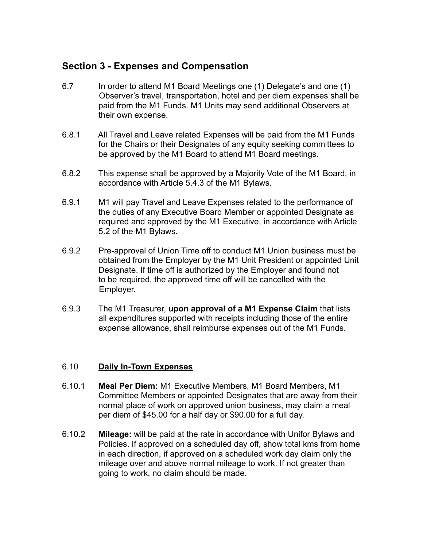## **Section 3 - Expenses and Compensation**

- 6.7 In order to attend M1 Board Meetings one (1) Delegate's and one (1) Observer's travel, transportation, hotel and per diem expenses shall be paid from the M1 Funds. M1 Units may send additional Observers at their own expense.
- 6.8.1 All Travel and Leave related Expenses will be paid from the M1 Funds for the Chairs or their Designates of any equity seeking committees to be approved by the M1 Board to attend M1 Board meetings.
- 6.8.2 This expense shall be approved by a Majority Vote of the M1 Board, in accordance with Article 5.4.3 of the M1 Bylaws.
- 6.9.1 M1 will pay Travel and Leave Expenses related to the performance of the duties of any Executive Board Member or appointed Designate as required and approved by the M1 Executive, in accordance with Article 5.2 of the M1 Bylaws.
- 6.9.2 Pre-approval of Union Time off to conduct M1 Union business must be obtained from the Employer by the M1 Unit President or appointed Unit Designate. If time off is authorized by the Employer and found not to be required, the approved time off will be cancelled with the Employer.
- 6.9.3 The M1 Treasurer, **upon approval of a M1 Expense Claim** that lists all expenditures supported with receipts including those of the entire expense allowance, shall reimburse expenses out of the M1 Funds.

### 6.10 **Daily In-Town Expenses**

- 6.10.1 **Meal Per Diem:** M1 Executive Members, M1 Board Members, M1 Committee Members or appointed Designates that are away from their normal place of work on approved union business, may claim a meal per diem of \$45.00 for a half day or \$90.00 for a full day.
- 6.10.2 **Mileage:** will be paid at the rate in accordance with Unifor Bylaws and Policies. If approved on a scheduled day off, show total kms from home in each direction, if approved on a scheduled work day claim only the mileage over and above normal mileage to work. If not greater than going to work, no claim should be made.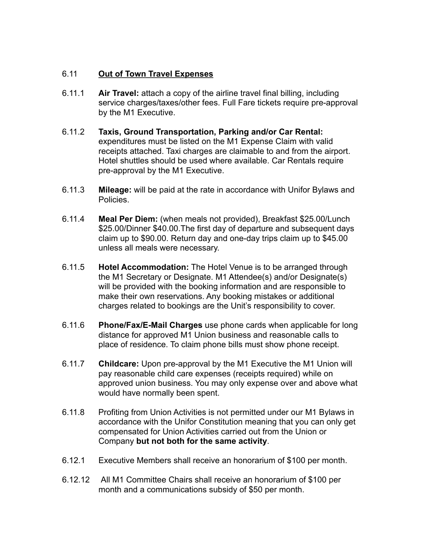### 6.11 **Out of Town Travel Expenses**

- 6.11.1 **Air Travel:** attach a copy of the airline travel final billing, including service charges/taxes/other fees. Full Fare tickets require pre-approval by the M1 Executive.
- 6.11.2 **Taxis, Ground Transportation, Parking and/or Car Rental:** expenditures must be listed on the M1 Expense Claim with valid receipts attached. Taxi charges are claimable to and from the airport. Hotel shuttles should be used where available. Car Rentals require pre-approval by the M1 Executive.
- 6.11.3 **Mileage:** will be paid at the rate in accordance with Unifor Bylaws and Policies.
- 6.11.4 **Meal Per Diem:** (when meals not provided), Breakfast \$25.00/Lunch \$25.00/Dinner \$40.00.The first day of departure and subsequent days claim up to \$90.00. Return day and one-day trips claim up to \$45.00 unless all meals were necessary.
- 6.11.5 **Hotel Accommodation:** The Hotel Venue is to be arranged through the M1 Secretary or Designate. M1 Attendee(s) and/or Designate(s) will be provided with the booking information and are responsible to make their own reservations. Any booking mistakes or additional charges related to bookings are the Unit's responsibility to cover.
- 6.11.6 **Phone/Fax/E-Mail Charges** use phone cards when applicable for long distance for approved M1 Union business and reasonable calls to place of residence. To claim phone bills must show phone receipt.
- 6.11.7 **Childcare:** Upon pre-approval by the M1 Executive the M1 Union will pay reasonable child care expenses (receipts required) while on approved union business. You may only expense over and above what would have normally been spent.
- 6.11.8 Profiting from Union Activities is not permitted under our M1 Bylaws in accordance with the Unifor Constitution meaning that you can only get compensated for Union Activities carried out from the Union or Company **but not both for the same activity**.
- 6.12.1 Executive Members shall receive an honorarium of \$100 per month.
- 6.12.12 All M1 Committee Chairs shall receive an honorarium of \$100 per month and a communications subsidy of \$50 per month.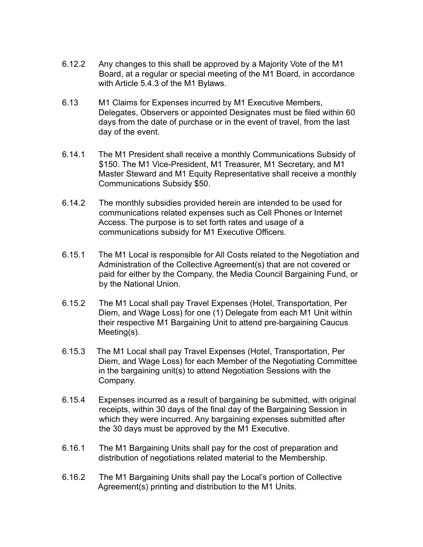- 6.12.2 Any changes to this shall be approved by a Majority Vote of the M1 Board, at a regular or special meeting of the M1 Board, in accordance with Article 5.4.3 of the M1 Bylaws.
- 6.13 M1 Claims for Expenses incurred by M1 Executive Members, Delegates, Observers or appointed Designates must be filed within 60 days from the date of purchase or in the event of travel, from the last day of the event.
- 6.14.1 The M1 President shall receive a monthly Communications Subsidy of \$150. The M1 Vice-President, M1 Treasurer, M1 Secretary, and M1 Master Steward and M1 Equity Representative shall receive a monthly Communications Subsidy \$50.
- 6.14.2 The monthly subsidies provided herein are intended to be used for communications related expenses such as Cell Phones or Internet Access. The purpose is to set forth rates and usage of a communications subsidy for M1 Executive Officers.
- 6.15.1 The M1 Local is responsible for All Costs related to the Negotiation and Administration of the Collective Agreement(s) that are not covered or paid for either by the Company, the Media Council Bargaining Fund, or by the National Union.
- 6.15.2 The M1 Local shall pay Travel Expenses (Hotel, Transportation, Per Diem, and Wage Loss) for one (1) Delegate from each M1 Unit within their respective M1 Bargaining Unit to attend pre-bargaining Caucus Meeting(s).
- 6.15.3 The M1 Local shall pay Travel Expenses (Hotel, Transportation, Per Diem, and Wage Loss) for each Member of the Negotiating Committee in the bargaining unit(s) to attend Negotiation Sessions with the Company.
- 6.15.4 Expenses incurred as a result of bargaining be submitted, with original receipts, within 30 days of the final day of the Bargaining Session in which they were incurred. Any bargaining expenses submitted after the 30 days must be approved by the M1 Executive.
- 6.16.1 The M1 Bargaining Units shall pay for the cost of preparation and distribution of negotiations related material to the Membership.
- 6.16.2 The M1 Bargaining Units shall pay the Local's portion of Collective Agreement(s) printing and distribution to the M1 Units.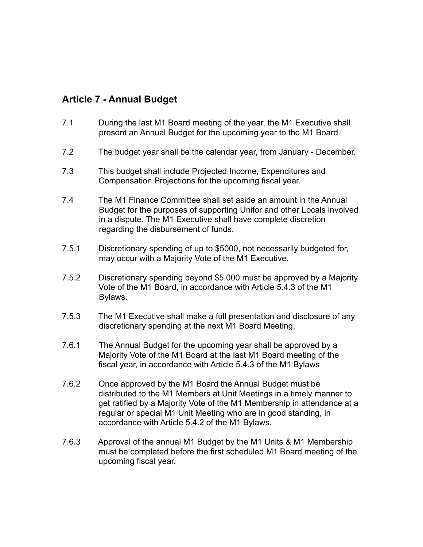## **Article 7 - Annual Budget**

- 7.1 During the last M1 Board meeting of the year, the M1 Executive shall present an Annual Budget for the upcoming year to the M1 Board.
- 7.2 The budget year shall be the calendar year, from January December.
- 7.3 This budget shall include Projected Income, Expenditures and Compensation Projections for the upcoming fiscal year.
- 7.4 The M1 Finance Committee shall set aside an amount in the Annual Budget for the purposes of supporting Unifor and other Locals involved in a dispute. The M1 Executive shall have complete discretion regarding the disbursement of funds.
- 7.5.1 Discretionary spending of up to \$5000, not necessarily budgeted for, may occur with a Majority Vote of the M1 Executive.
- 7.5.2 Discretionary spending beyond \$5,000 must be approved by a Majority Vote of the M1 Board, in accordance with Article 5.4.3 of the M1 Bylaws.
- 7.5.3 The M1 Executive shall make a full presentation and disclosure of any discretionary spending at the next M1 Board Meeting.
- 7.6.1 The Annual Budget for the upcoming year shall be approved by a Majority Vote of the M1 Board at the last M1 Board meeting of the fiscal year, in accordance with Article 5.4.3 of the M1 Bylaws
- 7.6.2 Once approved by the M1 Board the Annual Budget must be distributed to the M1 Members at Unit Meetings in a timely manner to get ratified by a Majority Vote of the M1 Membership in attendance at a regular or special M1 Unit Meeting who are in good standing, in accordance with Article 5.4.2 of the M1 Bylaws.
- 7.6.3 Approval of the annual M1 Budget by the M1 Units & M1 Membership must be completed before the first scheduled M1 Board meeting of the upcoming fiscal year.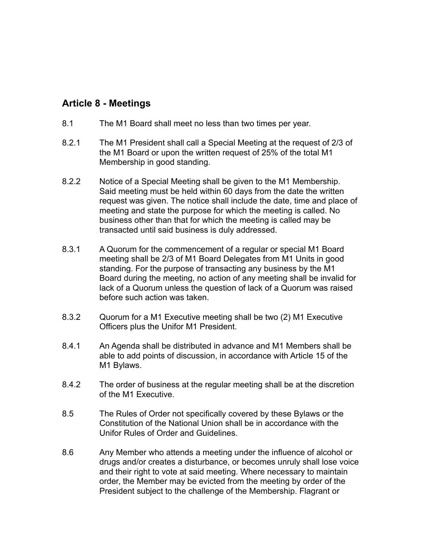## **Article 8 - Meetings**

- 8.1 The M1 Board shall meet no less than two times per year.
- 8.2.1 The M1 President shall call a Special Meeting at the request of 2/3 of the M1 Board or upon the written request of 25% of the total M1 Membership in good standing.
- 8.2.2 Notice of a Special Meeting shall be given to the M1 Membership. Said meeting must be held within 60 days from the date the written request was given. The notice shall include the date, time and place of meeting and state the purpose for which the meeting is called. No business other than that for which the meeting is called may be transacted until said business is duly addressed.
- 8.3.1 A Quorum for the commencement of a regular or special M1 Board meeting shall be 2/3 of M1 Board Delegates from M1 Units in good standing. For the purpose of transacting any business by the M1 Board during the meeting, no action of any meeting shall be invalid for lack of a Quorum unless the question of lack of a Quorum was raised before such action was taken.
- 8.3.2 Quorum for a M1 Executive meeting shall be two (2) M1 Executive Officers plus the Unifor M1 President.
- 8.4.1 An Agenda shall be distributed in advance and M1 Members shall be able to add points of discussion, in accordance with Article 15 of the M1 Bylaws.
- 8.4.2 The order of business at the regular meeting shall be at the discretion of the M1 Executive.
- 8.5 The Rules of Order not specifically covered by these Bylaws or the Constitution of the National Union shall be in accordance with the Unifor Rules of Order and Guidelines.
- 8.6 Any Member who attends a meeting under the influence of alcohol or drugs and/or creates a disturbance, or becomes unruly shall lose voice and their right to vote at said meeting. Where necessary to maintain order, the Member may be evicted from the meeting by order of the President subject to the challenge of the Membership. Flagrant or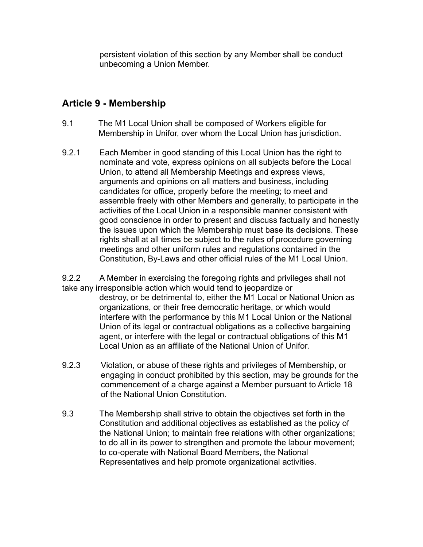persistent violation of this section by any Member shall be conduct unbecoming a Union Member.

## **Article 9 - Membership**

- 9.1 The M1 Local Union shall be composed of Workers eligible for Membership in Unifor, over whom the Local Union has jurisdiction.
- 9.2.1 Each Member in good standing of this Local Union has the right to nominate and vote, express opinions on all subjects before the Local Union, to attend all Membership Meetings and express views, arguments and opinions on all matters and business, including candidates for office, properly before the meeting; to meet and assemble freely with other Members and generally, to participate in the activities of the Local Union in a responsible manner consistent with good conscience in order to present and discuss factually and honestly the issues upon which the Membership must base its decisions. These rights shall at all times be subject to the rules of procedure governing meetings and other uniform rules and regulations contained in the Constitution, By-Laws and other official rules of the M1 Local Union.

9.2.2 A Member in exercising the foregoing rights and privileges shall not take any irresponsible action which would tend to jeopardize or destroy, or be detrimental to, either the M1 Local or National Union as organizations, or their free democratic heritage, or which would interfere with the performance by this M1 Local Union or the National Union of its legal or contractual obligations as a collective bargaining agent, or interfere with the legal or contractual obligations of this M1 Local Union as an affiliate of the National Union of Unifor.

- 9.2.3 Violation, or abuse of these rights and privileges of Membership, or engaging in conduct prohibited by this section, may be grounds for the commencement of a charge against a Member pursuant to Article 18 of the National Union Constitution.
- 9.3 The Membership shall strive to obtain the objectives set forth in the Constitution and additional objectives as established as the policy of the National Union; to maintain free relations with other organizations; to do all in its power to strengthen and promote the labour movement; to co-operate with National Board Members, the National Representatives and help promote organizational activities.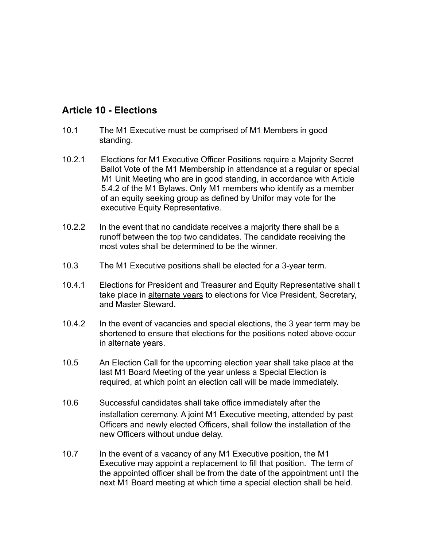## **Article 10 - Elections**

- 10.1 The M1 Executive must be comprised of M1 Members in good standing.
- 10.2.1 Elections for M1 Executive Officer Positions require a Majority Secret Ballot Vote of the M1 Membership in attendance at a regular or special M1 Unit Meeting who are in good standing, in accordance with Article 5.4.2 of the M1 Bylaws. Only M1 members who identify as a member of an equity seeking group as defined by Unifor may vote for the executive Equity Representative.
- 10.2.2 In the event that no candidate receives a majority there shall be a runoff between the top two candidates. The candidate receiving the most votes shall be determined to be the winner.
- 10.3 The M1 Executive positions shall be elected for a 3-year term.
- 10.4.1 Elections for President and Treasurer and Equity Representative shall t take place in alternate years to elections for Vice President, Secretary, and Master Steward.
- 10.4.2 In the event of vacancies and special elections, the 3 year term may be shortened to ensure that elections for the positions noted above occur in alternate years.
- 10.5 An Election Call for the upcoming election year shall take place at the last M1 Board Meeting of the year unless a Special Election is required, at which point an election call will be made immediately.
- 10.6 Successful candidates shall take office immediately after the installation ceremony. A joint M1 Executive meeting, attended by past Officers and newly elected Officers, shall follow the installation of the new Officers without undue delay.
- 10.7 In the event of a vacancy of any M1 Executive position, the M1 Executive may appoint a replacement to fill that position. The term of the appointed officer shall be from the date of the appointment until the next M1 Board meeting at which time a special election shall be held.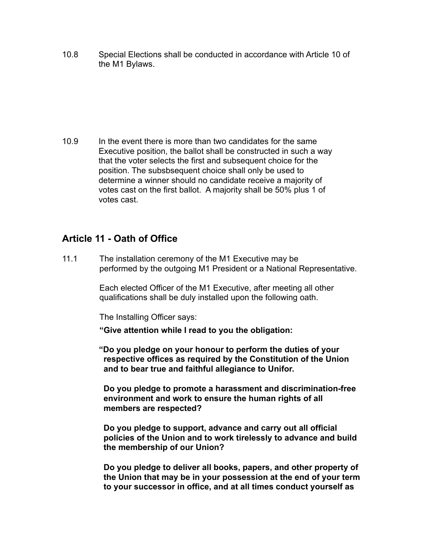10.8 Special Elections shall be conducted in accordance with Article 10 of the M1 Bylaws.

10.9 In the event there is more than two candidates for the same Executive position, the ballot shall be constructed in such a way that the voter selects the first and subsequent choice for the position. The subsbsequent choice shall only be used to determine a winner should no candidate receive a majority of votes cast on the first ballot. A majority shall be 50% plus 1 of votes cast.

## **Article 11 - Oath of Office**

11.1 The installation ceremony of the M1 Executive may be performed by the outgoing M1 President or a National Representative.

> Each elected Officer of the M1 Executive, after meeting all other qualifications shall be duly installed upon the following oath.

The Installing Officer says:

**"Give attention while I read to you the obligation:** 

 **"Do you pledge on your honour to perform the duties of your respective offices as required by the Constitution of the Union and to bear true and faithful allegiance to Unifor.** 

 **Do you pledge to promote a harassment and discrimination-free environment and work to ensure the human rights of all members are respected?** 

 **Do you pledge to support, advance and carry out all official policies of the Union and to work tirelessly to advance and build the membership of our Union?**

 **Do you pledge to deliver all books, papers, and other property of the Union that may be in your possession at the end of your term to your successor in office, and at all times conduct yourself as**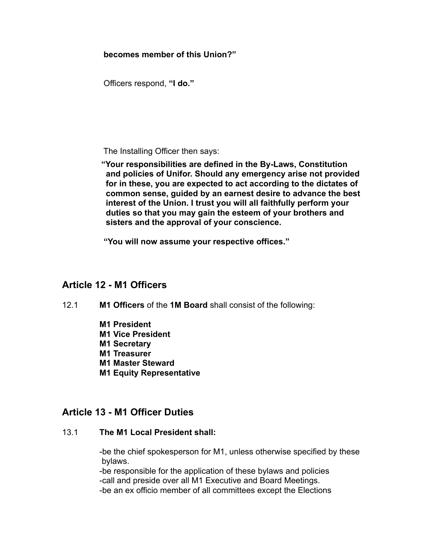**becomes member of this Union?"**

Officers respond, **"I do."**

The Installing Officer then says:

 **"Your responsibilities are defined in the By-Laws, Constitution and policies of Unifor. Should any emergency arise not provided for in these, you are expected to act according to the dictates of common sense, guided by an earnest desire to advance the best interest of the Union. I trust you will all faithfully perform your duties so that you may gain the esteem of your brothers and sisters and the approval of your conscience.** 

**"You will now assume your respective offices."**

## **Article 12 - M1 Officers**

- 12.1 **M1 Officers** of the **1M Board** shall consist of the following:
	- **M1 President**
	- **M1 Vice President**
	- **M1 Secretary**
	- **M1 Treasurer**
	- **M1 Master Steward**
	- **M1 Equity Representative**

## **Article 13 - M1 Officer Duties**

### 13.1 **The M1 Local President shall:**

 -be the chief spokesperson for M1, unless otherwise specified by these bylaws.

 -be responsible for the application of these bylaws and policies -call and preside over all M1 Executive and Board Meetings. -be an ex officio member of all committees except the Elections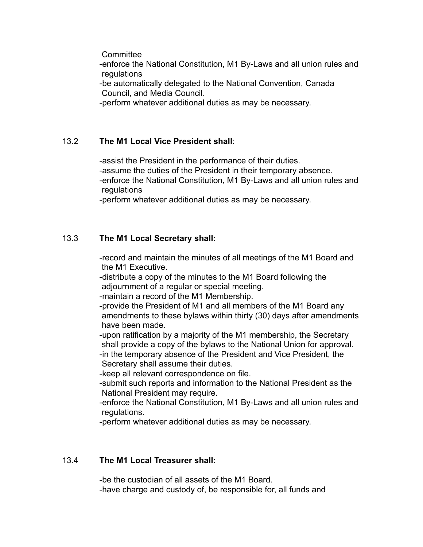**Committee** 

 -enforce the National Constitution, M1 By-Laws and all union rules and **regulations** 

 -be automatically delegated to the National Convention, Canada Council, and Media Council.

-perform whatever additional duties as may be necessary.

### 13.2 **The M1 Local Vice President shall**:

 -assist the President in the performance of their duties. -assume the duties of the President in their temporary absence. -enforce the National Constitution, M1 By-Laws and all union rules and regulations

-perform whatever additional duties as may be necessary.

#### 13.3 **The M1 Local Secretary shall:**

 -record and maintain the minutes of all meetings of the M1 Board and the M1 Executive.

 -distribute a copy of the minutes to the M1 Board following the adjournment of a regular or special meeting.

-maintain a record of the M1 Membership.

 -provide the President of M1 and all members of the M1 Board any amendments to these bylaws within thirty (30) days after amendments have been made.

 -upon ratification by a majority of the M1 membership, the Secretary shall provide a copy of the bylaws to the National Union for approval. -in the temporary absence of the President and Vice President, the

Secretary shall assume their duties.

-keep all relevant correspondence on file.

 -submit such reports and information to the National President as the National President may require.

 -enforce the National Constitution, M1 By-Laws and all union rules and regulations.

-perform whatever additional duties as may be necessary.

#### 13.4 **The M1 Local Treasurer shall:**

 -be the custodian of all assets of the M1 Board. -have charge and custody of, be responsible for, all funds and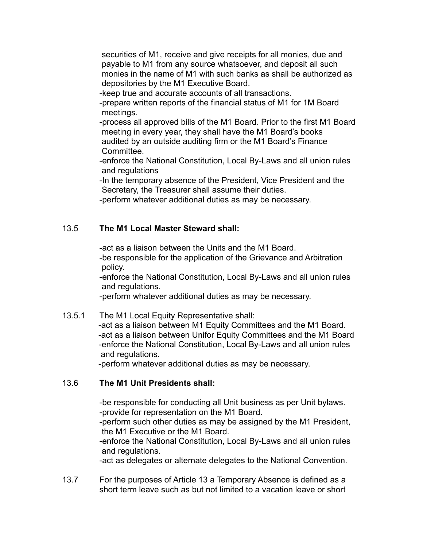securities of M1, receive and give receipts for all monies, due and payable to M1 from any source whatsoever, and deposit all such monies in the name of M1 with such banks as shall be authorized as depositories by the M1 Executive Board.

-keep true and accurate accounts of all transactions.

 -prepare written reports of the financial status of M1 for 1M Board meetings.

 -process all approved bills of the M1 Board. Prior to the first M1 Board meeting in every year, they shall have the M1 Board's books audited by an outside auditing firm or the M1 Board's Finance Committee.

 -enforce the National Constitution, Local By-Laws and all union rules and regulations

 -In the temporary absence of the President, Vice President and the Secretary, the Treasurer shall assume their duties.

-perform whatever additional duties as may be necessary.

#### 13.5 **The M1 Local Master Steward shall:**

 -act as a liaison between the Units and the M1 Board. -be responsible for the application of the Grievance and Arbitration policy.

 -enforce the National Constitution, Local By-Laws and all union rules and regulations.

-perform whatever additional duties as may be necessary.

#### 13.5.1 The M1 Local Equity Representative shall: -act as a liaison between M1 Equity Committees and the M1 Board.

 -act as a liaison between Unifor Equity Committees and the M1 Board -enforce the National Constitution, Local By-Laws and all union rules and regulations.

-perform whatever additional duties as may be necessary.

### 13.6 **The M1 Unit Presidents shall:**

 -be responsible for conducting all Unit business as per Unit bylaws. -provide for representation on the M1 Board.

 -perform such other duties as may be assigned by the M1 President, the M1 Executive or the M1 Board.

 -enforce the National Constitution, Local By-Laws and all union rules and regulations.

-act as delegates or alternate delegates to the National Convention.

13.7 For the purposes of Article 13 a Temporary Absence is defined as a short term leave such as but not limited to a vacation leave or short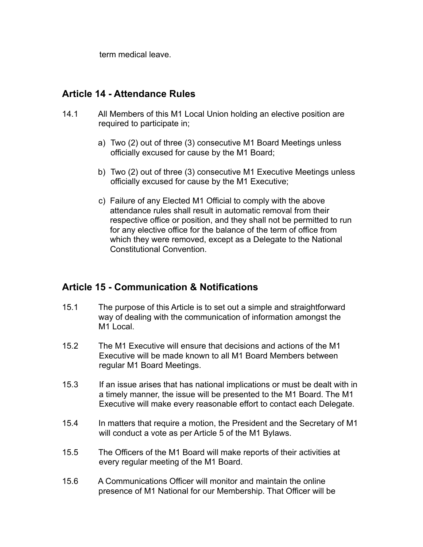term medical leave.

## **Article 14 - Attendance Rules**

- 14.1 All Members of this M1 Local Union holding an elective position are required to participate in;
	- a) Two (2) out of three (3) consecutive M1 Board Meetings unless officially excused for cause by the M1 Board;
	- b) Two (2) out of three (3) consecutive M1 Executive Meetings unless officially excused for cause by the M1 Executive;
	- c) Failure of any Elected M1 Official to comply with the above attendance rules shall result in automatic removal from their respective office or position, and they shall not be permitted to run for any elective office for the balance of the term of office from which they were removed, except as a Delegate to the National Constitutional Convention.

## **Article 15 - Communication & Notifications**

- 15.1 The purpose of this Article is to set out a simple and straightforward way of dealing with the communication of information amongst the M1 Local.
- 15.2 The M1 Executive will ensure that decisions and actions of the M1 Executive will be made known to all M1 Board Members between regular M1 Board Meetings.
- 15.3 If an issue arises that has national implications or must be dealt with in a timely manner, the issue will be presented to the M1 Board. The M1 Executive will make every reasonable effort to contact each Delegate.
- 15.4 In matters that require a motion, the President and the Secretary of M1 will conduct a vote as per Article 5 of the M1 Bylaws.
- 15.5 The Officers of the M1 Board will make reports of their activities at every regular meeting of the M1 Board.
- 15.6 A Communications Officer will monitor and maintain the online presence of M1 National for our Membership. That Officer will be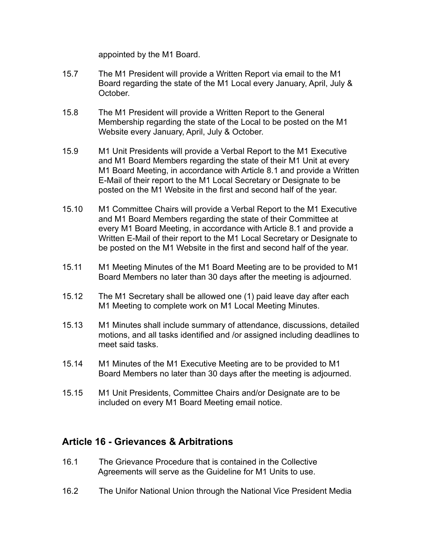appointed by the M1 Board.

- 15.7 The M1 President will provide a Written Report via email to the M1 Board regarding the state of the M1 Local every January, April, July & October.
- 15.8 The M1 President will provide a Written Report to the General Membership regarding the state of the Local to be posted on the M1 Website every January, April, July & October.
- 15.9 M1 Unit Presidents will provide a Verbal Report to the M1 Executive and M1 Board Members regarding the state of their M1 Unit at every M1 Board Meeting, in accordance with Article 8.1 and provide a Written E-Mail of their report to the M1 Local Secretary or Designate to be posted on the M1 Website in the first and second half of the year.
- 15.10 M1 Committee Chairs will provide a Verbal Report to the M1 Executive and M1 Board Members regarding the state of their Committee at every M1 Board Meeting, in accordance with Article 8.1 and provide a Written E-Mail of their report to the M1 Local Secretary or Designate to be posted on the M1 Website in the first and second half of the year.
- 15.11 M1 Meeting Minutes of the M1 Board Meeting are to be provided to M1 Board Members no later than 30 days after the meeting is adjourned.
- 15.12 The M1 Secretary shall be allowed one (1) paid leave day after each M1 Meeting to complete work on M1 Local Meeting Minutes.
- 15.13 M1 Minutes shall include summary of attendance, discussions, detailed motions, and all tasks identified and /or assigned including deadlines to meet said tasks.
- 15.14 M1 Minutes of the M1 Executive Meeting are to be provided to M1 Board Members no later than 30 days after the meeting is adjourned.
- 15.15 M1 Unit Presidents, Committee Chairs and/or Designate are to be included on every M1 Board Meeting email notice.

## **Article 16 - Grievances & Arbitrations**

- 16.1 The Grievance Procedure that is contained in the Collective Agreements will serve as the Guideline for M1 Units to use.
- 16.2 The Unifor National Union through the National Vice President Media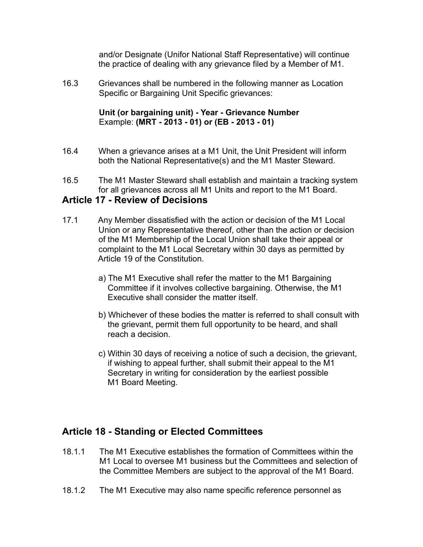and/or Designate (Unifor National Staff Representative) will continue the practice of dealing with any grievance filed by a Member of M1.

16.3 Grievances shall be numbered in the following manner as Location Specific or Bargaining Unit Specific grievances:

#### **Unit (or bargaining unit) - Year - Grievance Number** Example: **(MRT - 2013 - 01) or (EB - 2013 - 01)**

- 16.4 When a grievance arises at a M1 Unit, the Unit President will inform both the National Representative(s) and the M1 Master Steward.
- 16.5 The M1 Master Steward shall establish and maintain a tracking system for all grievances across all M1 Units and report to the M1 Board.

### **Article 17 - Review of Decisions**

- 17.1 Any Member dissatisfied with the action or decision of the M1 Local Union or any Representative thereof, other than the action or decision of the M1 Membership of the Local Union shall take their appeal or complaint to the M1 Local Secretary within 30 days as permitted by Article 19 of the Constitution.
	- a) The M1 Executive shall refer the matter to the M1 Bargaining Committee if it involves collective bargaining. Otherwise, the M1 Executive shall consider the matter itself.
	- b) Whichever of these bodies the matter is referred to shall consult with the grievant, permit them full opportunity to be heard, and shall reach a decision.
	- c) Within 30 days of receiving a notice of such a decision, the grievant, if wishing to appeal further, shall submit their appeal to the M1 Secretary in writing for consideration by the earliest possible M1 Board Meeting.

## **Article 18 - Standing or Elected Committees**

- 18.1.1 The M1 Executive establishes the formation of Committees within the M1 Local to oversee M1 business but the Committees and selection of the Committee Members are subject to the approval of the M1 Board.
- 18.1.2 The M1 Executive may also name specific reference personnel as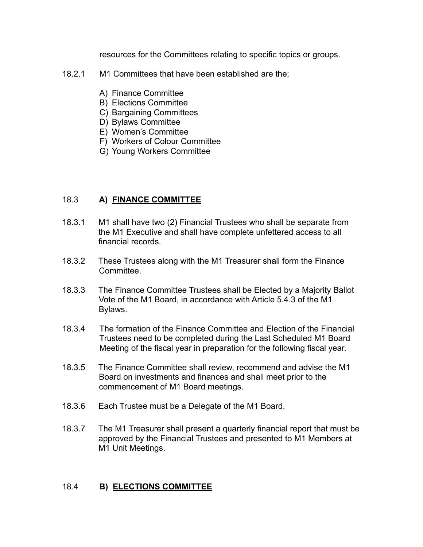resources for the Committees relating to specific topics or groups.

- 18.2.1 M1 Committees that have been established are the;
	- A) Finance Committee
	- B) Elections Committee
	- C) Bargaining Committees
	- D) Bylaws Committee
	- E) Women's Committee
	- F) Workers of Colour Committee
	- G) Young Workers Committee

### 18.3 **A) FINANCE COMMITTEE**

- 18.3.1 M1 shall have two (2) Financial Trustees who shall be separate from the M1 Executive and shall have complete unfettered access to all financial records.
- 18.3.2 These Trustees along with the M1 Treasurer shall form the Finance Committee.
- 18.3.3 The Finance Committee Trustees shall be Elected by a Majority Ballot Vote of the M1 Board, in accordance with Article 5.4.3 of the M1 Bylaws.
- 18.3.4 The formation of the Finance Committee and Election of the Financial Trustees need to be completed during the Last Scheduled M1 Board Meeting of the fiscal year in preparation for the following fiscal year.
- 18.3.5 The Finance Committee shall review, recommend and advise the M1 Board on investments and finances and shall meet prior to the commencement of M1 Board meetings.
- 18.3.6 Each Trustee must be a Delegate of the M1 Board.
- 18.3.7 The M1 Treasurer shall present a quarterly financial report that must be approved by the Financial Trustees and presented to M1 Members at M1 Unit Meetings.

### 18.4 **B) ELECTIONS COMMITTEE**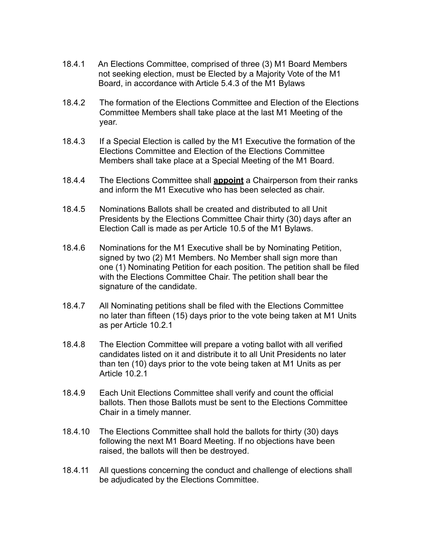- 18.4.1 An Elections Committee, comprised of three (3) M1 Board Members not seeking election, must be Elected by a Majority Vote of the M1 Board, in accordance with Article 5.4.3 of the M1 Bylaws
- 18.4.2 The formation of the Elections Committee and Election of the Elections Committee Members shall take place at the last M1 Meeting of the year.
- 18.4.3 If a Special Election is called by the M1 Executive the formation of the Elections Committee and Election of the Elections Committee Members shall take place at a Special Meeting of the M1 Board.
- 18.4.4 The Elections Committee shall **appoint** a Chairperson from their ranks and inform the M1 Executive who has been selected as chair.
- 18.4.5 Nominations Ballots shall be created and distributed to all Unit Presidents by the Elections Committee Chair thirty (30) days after an Election Call is made as per Article 10.5 of the M1 Bylaws.
- 18.4.6 Nominations for the M1 Executive shall be by Nominating Petition, signed by two (2) M1 Members. No Member shall sign more than one (1) Nominating Petition for each position. The petition shall be filed with the Elections Committee Chair. The petition shall bear the signature of the candidate.
- 18.4.7 All Nominating petitions shall be filed with the Elections Committee no later than fifteen (15) days prior to the vote being taken at M1 Units as per Article 10.2.1
- 18.4.8 The Election Committee will prepare a voting ballot with all verified candidates listed on it and distribute it to all Unit Presidents no later than ten (10) days prior to the vote being taken at M1 Units as per Article 10.2.1
- 18.4.9 Each Unit Elections Committee shall verify and count the official ballots. Then those Ballots must be sent to the Elections Committee Chair in a timely manner.
- 18.4.10 The Elections Committee shall hold the ballots for thirty (30) days following the next M1 Board Meeting. If no objections have been raised, the ballots will then be destroyed.
- 18.4.11 All questions concerning the conduct and challenge of elections shall be adjudicated by the Elections Committee.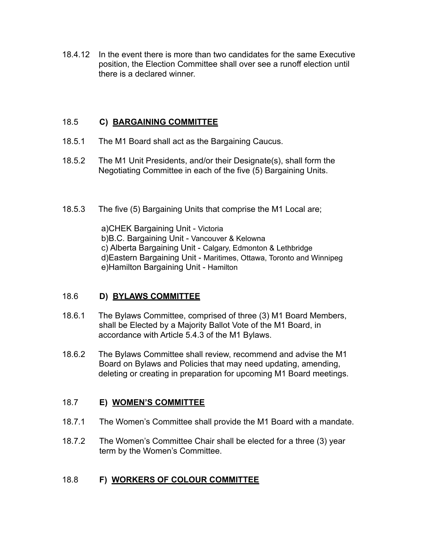18.4.12 In the event there is more than two candidates for the same Executive position, the Election Committee shall over see a runoff election until there is a declared winner.

### 18.5 **C) BARGAINING COMMITTEE**

- 18.5.1 The M1 Board shall act as the Bargaining Caucus.
- 18.5.2 The M1 Unit Presidents, and/or their Designate(s), shall form the Negotiating Committee in each of the five (5) Bargaining Units.
- 18.5.3 The five (5) Bargaining Units that comprise the M1 Local are;

a)CHEK Bargaining Unit - Victoria b)B.C. Bargaining Unit - Vancouver & Kelowna c) Alberta Bargaining Unit - Calgary, Edmonton & Lethbridge d)Eastern Bargaining Unit - Maritimes, Ottawa, Toronto and Winnipeg e)Hamilton Bargaining Unit - Hamilton

## 18.6 **D) BYLAWS COMMITTEE**

- 18.6.1 The Bylaws Committee, comprised of three (3) M1 Board Members, shall be Elected by a Majority Ballot Vote of the M1 Board, in accordance with Article 5.4.3 of the M1 Bylaws.
- 18.6.2 The Bylaws Committee shall review, recommend and advise the M1 Board on Bylaws and Policies that may need updating, amending, deleting or creating in preparation for upcoming M1 Board meetings.

### 18.7 **E) WOMEN'S COMMITTEE**

- 18.7.1 The Women's Committee shall provide the M1 Board with a mandate.
- 18.7.2 The Women's Committee Chair shall be elected for a three (3) year term by the Women's Committee.

### 18.8 **F) WORKERS OF COLOUR COMMITTEE**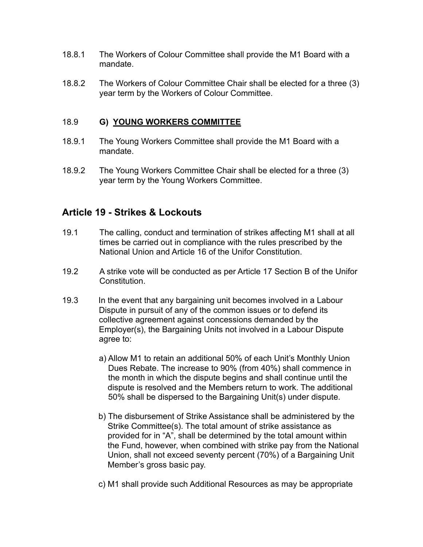- 18.8.1 The Workers of Colour Committee shall provide the M1 Board with a mandate.
- 18.8.2 The Workers of Colour Committee Chair shall be elected for a three (3) year term by the Workers of Colour Committee.

#### 18.9 **G) YOUNG WORKERS COMMITTEE**

- 18.9.1 The Young Workers Committee shall provide the M1 Board with a mandate.
- 18.9.2 The Young Workers Committee Chair shall be elected for a three (3) year term by the Young Workers Committee.

## **Article 19 - Strikes & Lockouts**

- 19.1 The calling, conduct and termination of strikes affecting M1 shall at all times be carried out in compliance with the rules prescribed by the National Union and Article 16 of the Unifor Constitution.
- 19.2 A strike vote will be conducted as per Article 17 Section B of the Unifor Constitution.
- 19.3 In the event that any bargaining unit becomes involved in a Labour Dispute in pursuit of any of the common issues or to defend its collective agreement against concessions demanded by the Employer(s), the Bargaining Units not involved in a Labour Dispute agree to:
	- a) Allow M1 to retain an additional 50% of each Unit's Monthly Union Dues Rebate. The increase to 90% (from 40%) shall commence in the month in which the dispute begins and shall continue until the dispute is resolved and the Members return to work. The additional 50% shall be dispersed to the Bargaining Unit(s) under dispute.
	- b) The disbursement of Strike Assistance shall be administered by the Strike Committee(s). The total amount of strike assistance as provided for in "A", shall be determined by the total amount within the Fund, however, when combined with strike pay from the National Union, shall not exceed seventy percent (70%) of a Bargaining Unit Member's gross basic pay.
	- c) M1 shall provide such Additional Resources as may be appropriate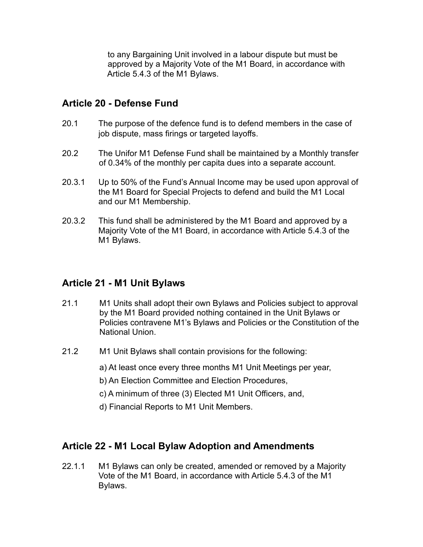to any Bargaining Unit involved in a labour dispute but must be approved by a Majority Vote of the M1 Board, in accordance with Article 5.4.3 of the M1 Bylaws.

## **Article 20 - Defense Fund**

- 20.1 The purpose of the defence fund is to defend members in the case of job dispute, mass firings or targeted layoffs.
- 20.2 The Unifor M1 Defense Fund shall be maintained by a Monthly transfer of 0.34% of the monthly per capita dues into a separate account.
- 20.3.1 Up to 50% of the Fund's Annual Income may be used upon approval of the M1 Board for Special Projects to defend and build the M1 Local and our M1 Membership.
- 20.3.2 This fund shall be administered by the M1 Board and approved by a Majority Vote of the M1 Board, in accordance with Article 5.4.3 of the M1 Bylaws.

## **Article 21 - M1 Unit Bylaws**

- 21.1 M1 Units shall adopt their own Bylaws and Policies subject to approval by the M1 Board provided nothing contained in the Unit Bylaws or Policies contravene M1's Bylaws and Policies or the Constitution of the National Union.
- 21.2 M1 Unit Bylaws shall contain provisions for the following:
	- a) At least once every three months M1 Unit Meetings per year,
	- b) An Election Committee and Election Procedures,
	- c) A minimum of three (3) Elected M1 Unit Officers, and,
	- d) Financial Reports to M1 Unit Members.

## **Article 22 - M1 Local Bylaw Adoption and Amendments**

22.1.1 M1 Bylaws can only be created, amended or removed by a Majority Vote of the M1 Board, in accordance with Article 5.4.3 of the M1 Bylaws.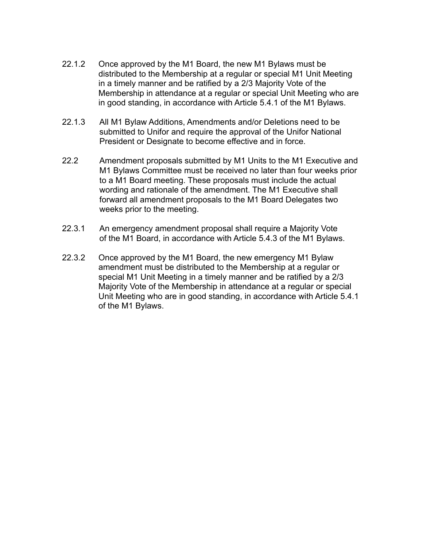- 22.1.2 Once approved by the M1 Board, the new M1 Bylaws must be distributed to the Membership at a regular or special M1 Unit Meeting in a timely manner and be ratified by a 2/3 Majority Vote of the Membership in attendance at a regular or special Unit Meeting who are in good standing, in accordance with Article 5.4.1 of the M1 Bylaws.
- 22.1.3 All M1 Bylaw Additions, Amendments and/or Deletions need to be submitted to Unifor and require the approval of the Unifor National President or Designate to become effective and in force.
- 22.2 Amendment proposals submitted by M1 Units to the M1 Executive and M1 Bylaws Committee must be received no later than four weeks prior to a M1 Board meeting. These proposals must include the actual wording and rationale of the amendment. The M1 Executive shall forward all amendment proposals to the M1 Board Delegates two weeks prior to the meeting.
- 22.3.1 An emergency amendment proposal shall require a Majority Vote of the M1 Board, in accordance with Article 5.4.3 of the M1 Bylaws.
- 22.3.2 Once approved by the M1 Board, the new emergency M1 Bylaw amendment must be distributed to the Membership at a regular or special M1 Unit Meeting in a timely manner and be ratified by a 2/3 Majority Vote of the Membership in attendance at a regular or special Unit Meeting who are in good standing, in accordance with Article 5.4.1 of the M1 Bylaws.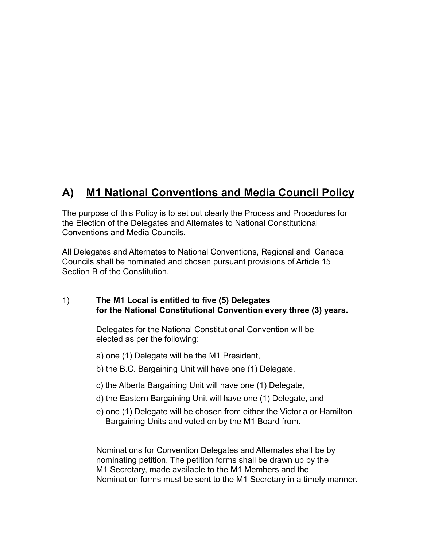## **A) M1 National Conventions and Media Council Policy**

The purpose of this Policy is to set out clearly the Process and Procedures for the Election of the Delegates and Alternates to National Constitutional Conventions and Media Councils.

All Delegates and Alternates to National Conventions, Regional and Canada Councils shall be nominated and chosen pursuant provisions of Article 15 Section B of the Constitution.

#### 1) **The M1 Local is entitled to five (5) Delegates for the National Constitutional Convention every three (3) years.**

 Delegates for the National Constitutional Convention will be elected as per the following:

- a) one (1) Delegate will be the M1 President,
- b) the B.C. Bargaining Unit will have one (1) Delegate,
- c) the Alberta Bargaining Unit will have one (1) Delegate,
- d) the Eastern Bargaining Unit will have one (1) Delegate, and
- e) one (1) Delegate will be chosen from either the Victoria or Hamilton Bargaining Units and voted on by the M1 Board from.

 Nominations for Convention Delegates and Alternates shall be by nominating petition. The petition forms shall be drawn up by the M1 Secretary, made available to the M1 Members and the Nomination forms must be sent to the M1 Secretary in a timely manner.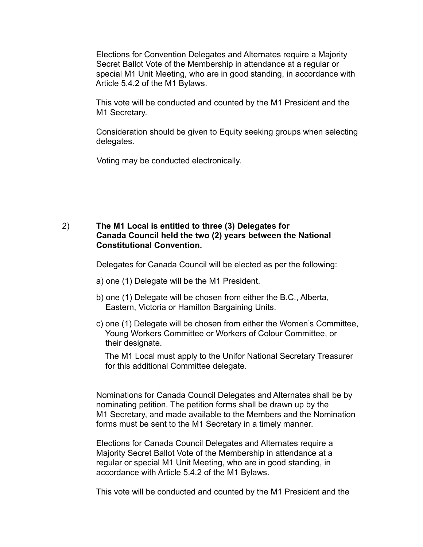Elections for Convention Delegates and Alternates require a Majority Secret Ballot Vote of the Membership in attendance at a regular or special M1 Unit Meeting, who are in good standing, in accordance with Article 5.4.2 of the M1 Bylaws.

 This vote will be conducted and counted by the M1 President and the M1 Secretary.

 Consideration should be given to Equity seeking groups when selecting delegates.

Voting may be conducted electronically.

#### 2) **The M1 Local is entitled to three (3) Delegates for Canada Council held the two (2) years between the National Constitutional Convention.**

Delegates for Canada Council will be elected as per the following:

- a) one (1) Delegate will be the M1 President.
- b) one (1) Delegate will be chosen from either the B.C., Alberta, Eastern, Victoria or Hamilton Bargaining Units.
- c) one (1) Delegate will be chosen from either the Women's Committee, Young Workers Committee or Workers of Colour Committee, or their designate.

 The M1 Local must apply to the Unifor National Secretary Treasurer for this additional Committee delegate.

 Nominations for Canada Council Delegates and Alternates shall be by nominating petition. The petition forms shall be drawn up by the M1 Secretary, and made available to the Members and the Nomination forms must be sent to the M1 Secretary in a timely manner.

 Elections for Canada Council Delegates and Alternates require a Majority Secret Ballot Vote of the Membership in attendance at a regular or special M1 Unit Meeting, who are in good standing, in accordance with Article 5.4.2 of the M1 Bylaws.

This vote will be conducted and counted by the M1 President and the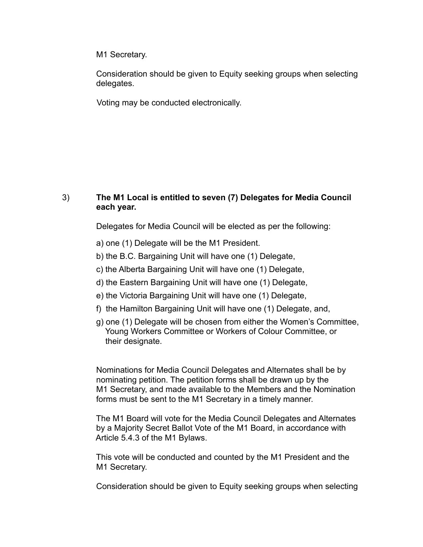M1 Secretary.

 Consideration should be given to Equity seeking groups when selecting delegates.

Voting may be conducted electronically.

#### 3) **The M1 Local is entitled to seven (7) Delegates for Media Council each year.**

Delegates for Media Council will be elected as per the following:

- a) one (1) Delegate will be the M1 President.
- b) the B.C. Bargaining Unit will have one (1) Delegate,
- c) the Alberta Bargaining Unit will have one (1) Delegate,
- d) the Eastern Bargaining Unit will have one (1) Delegate,
- e) the Victoria Bargaining Unit will have one (1) Delegate,
- f) the Hamilton Bargaining Unit will have one (1) Delegate, and,
- g) one (1) Delegate will be chosen from either the Women's Committee, Young Workers Committee or Workers of Colour Committee, or their designate.

 Nominations for Media Council Delegates and Alternates shall be by nominating petition. The petition forms shall be drawn up by the M1 Secretary, and made available to the Members and the Nomination forms must be sent to the M1 Secretary in a timely manner.

 The M1 Board will vote for the Media Council Delegates and Alternates by a Majority Secret Ballot Vote of the M1 Board, in accordance with Article 5.4.3 of the M1 Bylaws.

 This vote will be conducted and counted by the M1 President and the M1 Secretary.

Consideration should be given to Equity seeking groups when selecting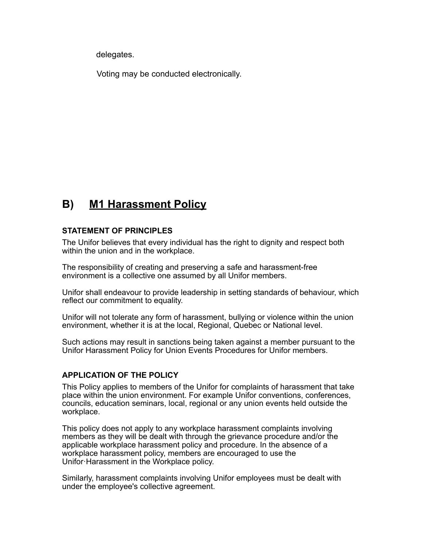delegates.

Voting may be conducted electronically.

## **B) M1 Harassment Policy**

#### **STATEMENT OF PRINCIPLES**

The Unifor believes that every individual has the right to dignity and respect both within the union and in the workplace.

The responsibility of creating and preserving a safe and harassment-free environment is a collective one assumed by all Unifor members.

Unifor shall endeavour to provide leadership in setting standards of behaviour, which reflect our commitment to equality.

Unifor will not tolerate any form of harassment, bullying or violence within the union environment, whether it is at the local, Regional, Quebec or National level.

Such actions may result in sanctions being taken against a member pursuant to the Unifor Harassment Policy for Union Events Procedures for Unifor members.

#### **APPLICATION OF THE POLICY**

This Policy applies to members of the Unifor for complaints of harassment that take place within the union environment. For example Unifor conventions, conferences, councils, education seminars, local, regional or any union events held outside the workplace.

This policy does not apply to any workplace harassment complaints involving members as they will be dealt with through the grievance procedure and/or the applicable workplace harassment policy and procedure. In the absence of a workplace harassment policy, members are encouraged to use the Unifor·Harassment in the Workplace policy.

Similarly, harassment complaints involving Unifor employees must be dealt with under the employee's collective agreement.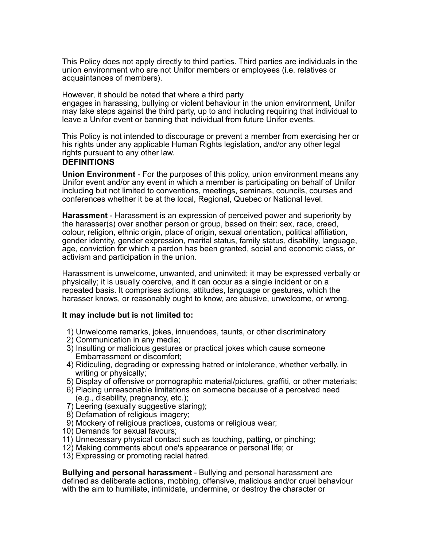This Policy does not apply directly to third parties. Third parties are individuals in the union environment who are not Unifor members or employees (i.e. relatives or acquaintances of members).

However, it should be noted that where a third party engages in harassing, bullying or violent behaviour in the union environment, Unifor may take steps against the third party, up to and including requiring that individual to leave a Unifor event or banning that individual from future Unifor events.

This Policy is not intended to discourage or prevent a member from exercising her or his rights under any applicable Human Rights legislation, and/or any other legal rights pursuant to any other law.

#### **DEFINITIONS**

**Union Environment** - For the purposes of this policy, union environment means any Unifor event and/or any event in which a member is participating on behalf of Unifor including but not limited to conventions, meetings, seminars, councils, courses and conferences whether it be at the local, Regional, Quebec or National level.

**Harassment** - Harassment is an expression of perceived power and superiority by the harasser(s) over another person or group, based on their: sex, race, creed, colour, religion, ethnic origin, place of origin, sexual orientation, political affiliation, gender identity, gender expression, marital status, family status, disability, language, age, conviction for which a pardon has been granted, social and economic class, or activism and participation in the union.

Harassment is unwelcome, unwanted, and uninvited; it may be expressed verbally or physically; it is usually coercive, and it can occur as a single incident or on a repeated basis. It comprises actions, attitudes, language or gestures, which the harasser knows, or reasonably ought to know, are abusive, unwelcome, or wrong.

#### **It may include but is not limited to:**

- 1) Unwelcome remarks, jokes, innuendoes, taunts, or other discriminatory
- 2) Communication in any media;
- 3) Insulting or malicious gestures or practical jokes which cause someone Embarrassment or discomfort;
- 4) Ridiculing, degrading or expressing hatred or intolerance, whether verbally, in writing or physically;
- 5) Display of offensive or pornographic material/pictures, graffiti, or other materials;
- 6) Placing unreasonable limitations on someone because of a perceived need (e.g., disability, pregnancy, etc.);
- 7) Leering (sexually suggestive staring);
- 8) Defamation of religious imagery;
- 9) Mockery of religious practices, customs or religious wear;
- 10) Demands for sexual favours;
- 11) Unnecessary physical contact such as touching, patting, or pinching;
- 12) Making comments about one's appearance or personal life; or
- 13) Expressing or promoting racial hatred.

**Bullying and personal harassment** - Bullying and personal harassment are defined as deliberate actions, mobbing, offensive, malicious and/or cruel behaviour with the aim to humiliate, intimidate, undermine, or destroy the character or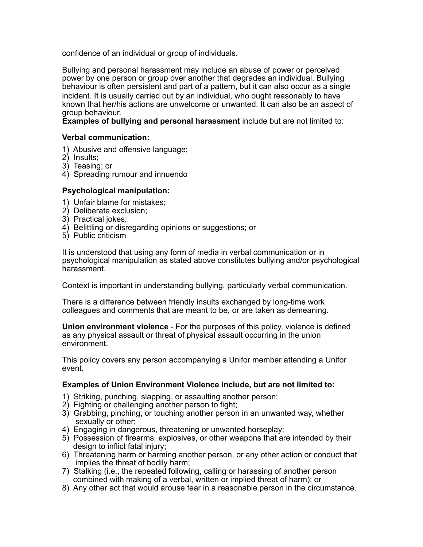confidence of an individual or group of individuals.

Bullying and personal harassment may include an abuse of power or perceived power by one person or group over another that degrades an individual. Bullying behaviour is often persistent and part of a pattern, but it can also occur as a single incident. It is usually carried out by an individual, who ought reasonably to have known that her/his actions are unwelcome or unwanted. It can also be an aspect of group behaviour.

**Examples of bullying and personal harassment** include but are not limited to:

#### **Verbal communication:**

- 1) Abusive and offensive language;
- 2) Insults;
- 3) Teasing; or
- 4) Spreading rumour and innuendo

#### **Psychological manipulation:**

- 1) Unfair blame for mistakes;
- 2) Deliberate exclusion;
- 3) Practical jokes;
- 4) Belittling or disregarding opinions or suggestions; or
- 5) Public criticism

It is understood that using any form of media in verbal communication or in psychological manipulation as stated above constitutes bullying and/or psychological harassment.

Context is important in understanding bullying, particularly verbal communication.

There is a difference between friendly insults exchanged by long-time work colleagues and comments that are meant to be, or are taken as demeaning.

**Union environment violence** - For the purposes of this policy, violence is defined as any physical assault or threat of physical assault occurring in the union environment.

This policy covers any person accompanying a Unifor member attending a Unifor event.

#### **Examples of Union Environment Violence include, but are not limited to:**

- 1) Striking, punching, slapping, or assaulting another person;
- 2) Fighting or challenging another person to fight;
- 3) Grabbing, pinching, or touching another person in an unwanted way, whether sexually or other;
- 4) Engaging in dangerous, threatening or unwanted horseplay;
- 5) Possession of firearms, explosives, or other weapons that are intended by their design to inflict fatal injury;
- 6) Threatening harm or harming another person, or any other action or conduct that implies the threat of bodily harm;
- 7) Stalking (i.e., the repeated following, calling or harassing of another person combined with making of a verbal, written or implied threat of harm); or
- 8) Any other act that would arouse fear in a reasonable person in the circumstance.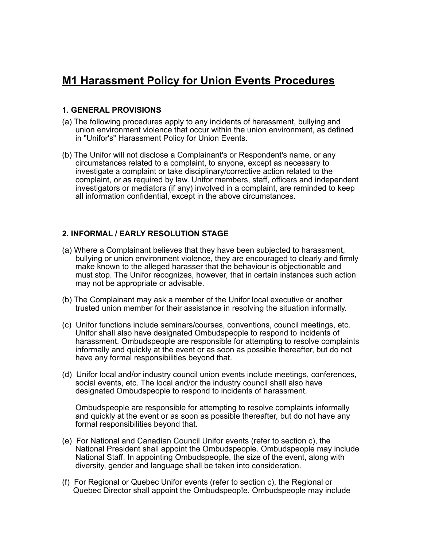## **M1 Harassment Policy for Union Events Procedures**

#### **1. GENERAL PROVISIONS**

- (a) The following procedures apply to any incidents of harassment, bullying and union environment violence that occur within the union environment, as defined in "Unifor's" Harassment Policy for Union Events.
- (b) The Unifor will not disclose a Complainant's or Respondent's name, or any circumstances related to a complaint, to anyone, except as necessary to investigate a complaint or take disciplinary/corrective action related to the complaint, or as required by law. Unifor members, staff, officers and independent investigators or mediators (if any) involved in a complaint, are reminded to keep all information confidential, except in the above circumstances.

#### **2. INFORMAL / EARLY RESOLUTION STAGE**

- (a) Where a Complainant believes that they have been subjected to harassment, bullying or union environment violence, they are encouraged to clearly and firmly make known to the alleged harasser that the behaviour is objectionable and must stop. The Unifor recognizes, however, that in certain instances such action may not be appropriate or advisable.
- (b) The Complainant may ask a member of the Unifor local executive or another trusted union member for their assistance in resolving the situation informally.
- (c) Unifor functions include seminars/courses, conventions, council meetings, etc. Unifor shall also have designated Ombudspeople to respond to incidents of harassment. Ombudspeople are responsible for attempting to resolve complaints informally and quickly at the event or as soon as possible thereafter, but do not have any formal responsibilities beyond that.
- (d) Unifor local and/or industry council union events include meetings, conferences, social events, etc. The local and/or the industry council shall also have designated Ombudspeople to respond to incidents of harassment.

 Ombudspeople are responsible for attempting to resolve complaints informally and quickly at the event or as soon as possible thereafter, but do not have any formal responsibilities beyond that.

- (e) For National and Canadian Council Unifor events (refer to section c), the National President shall appoint the Ombudspeople. Ombudspeople may include National Staff. In appointing Ombudspeople, the size of the event, along with diversity, gender and language shall be taken into consideration.
- (f) For Regional or Quebec Unifor events (refer to section c), the Regional or Quebec Director shall appoint the Ombudspeop!e. Ombudspeople may include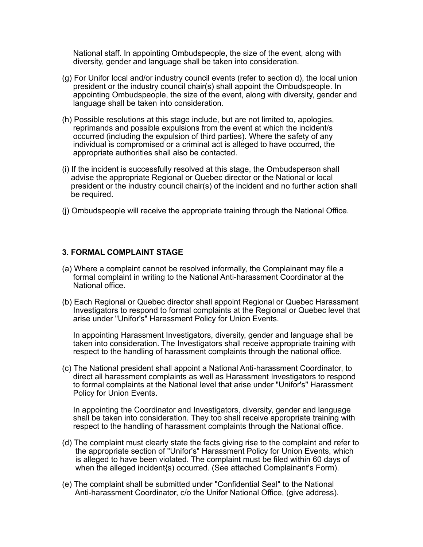National staff. In appointing Ombudspeople, the size of the event, along with diversity, gender and language shall be taken into consideration.

- (g) For Unifor local and/or industry council events (refer to section d), the local union president or the industry council chair(s) shall appoint the Ombudspeople. In appointing Ombudspeople, the size of the event, along with diversity, gender and language shall be taken into consideration.
- (h) Possible resolutions at this stage include, but are not limited to, apologies, reprimands and possible expulsions from the event at which the incident/s occurred (including the expulsion of third parties). Where the safety of any individual is compromised or a criminal act is alleged to have occurred, the appropriate authorities shall also be contacted.
- (i) If the incident is successfully resolved at this stage, the Ombudsperson shall advise the appropriate Regional or Quebec director or the National or local president or the industry council chair(s) of the incident and no further action shall be required.
- (j) Ombudspeople will receive the appropriate training through the National Office.

#### **3. FORMAL COMPLAINT STAGE**

- (a) Where a complaint cannot be resolved informally, the Complainant may file a formal complaint in writing to the National Anti-harassment Coordinator at the National office.
- (b) Each Regional or Quebec director shall appoint Regional or Quebec Harassment Investigators to respond to formal complaints at the Regional or Quebec level that arise under "Unifor's" Harassment Policy for Union Events.

 In appointing Harassment Investigators, diversity, gender and language shall be taken into consideration. The Investigators shall receive appropriate training with respect to the handling of harassment complaints through the national office.

(c) The National president shall appoint a National Anti-harassment Coordinator, to direct all harassment complaints as well as Harassment Investigators to respond to formal complaints at the National level that arise under "Unifor's" Harassment Policy for Union Events.

 In appointing the Coordinator and Investigators, diversity, gender and language shall be taken into consideration. They too shall receive appropriate training with respect to the handling of harassment complaints through the National office.

- (d) The complaint must clearly state the facts giving rise to the complaint and refer to the appropriate section of "Unifor's" Harassment Policy for Union Events, which is alleged to have been violated. The complaint must be filed within 60 days of when the alleged incident{s) occurred. (See attached Complainant's Form).
- (e) The complaint shall be submitted under "Confidential Seal" to the National Anti-harassment Coordinator, c/o the Unifor National Office, (give address).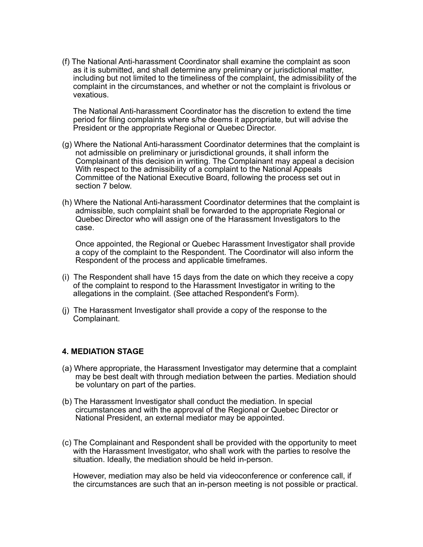(f) The National Anti-harassment Coordinator shall examine the complaint as soon as it is submitted, and shall determine any preliminary or jurisdictional matter, including but not limited to the timeliness of the complaint, the admissibility of the complaint in the circumstances, and whether or not the complaint is frivolous or vexatious.

 The National Anti-harassment Coordinator has the discretion to extend the time period for filing complaints where s/he deems it appropriate, but will advise the President or the appropriate Regional or Quebec Director.

- (g) Where the National Anti-harassment Coordinator determines that the complaint is not admissible on preliminary or jurisdictional grounds, it shall inform the Complainant of this decision in writing. The Complainant may appeal a decision With respect to the admissibility of a complaint to the National Appeals Committee of the National Executive Board, following the process set out in section 7 below.
- (h) Where the National Anti-harassment Coordinator determines that the complaint is admissible, such complaint shall be forwarded to the appropriate Regional or Quebec Director who will assign one of the Harassment Investigators to the case.

 Once appointed, the Regional or Quebec Harassment Investigator shall provide a copy of the complaint to the Respondent. The Coordinator will also inform the Respondent of the process and applicable timeframes.

- (i) The Respondent shall have 15 days from the date on which they receive a copy of the complaint to respond to the Harassment Investigator in writing to the allegations in the complaint. (See attached Respondent's Form).
- (j) The Harassment Investigator shall provide a copy of the response to the Complainant.

#### **4. MEDIATION STAGE**

- (a) Where appropriate, the Harassment Investigator may determine that a complaint may be best dealt with through mediation between the parties. Mediation should be voluntary on part of the parties.
- (b) The Harassment Investigator shall conduct the mediation. In special circumstances and with the approval of the Regional or Quebec Director or National President, an external mediator may be appointed.
- (c) The Complainant and Respondent shall be provided with the opportunity to meet with the Harassment Investigator, who shall work with the parties to resolve the situation. Ideally, the mediation should be held in-person.

 However, mediation may also be held via videoconference or conference call, if the circumstances are such that an in-person meeting is not possible or practical.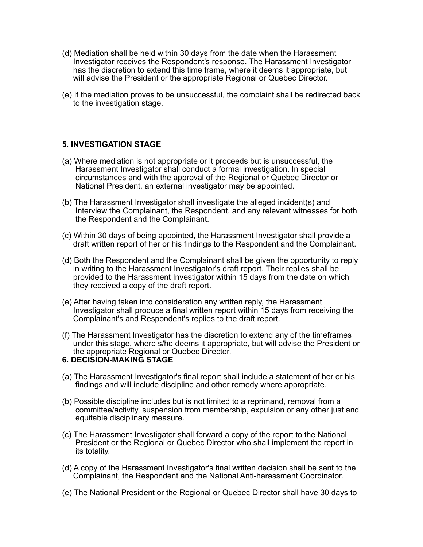- (d) Mediation shall be held within 30 days from the date when the Harassment Investigator receives the Respondent's response. The Harassment Investigator has the discretion to extend this time frame, where it deems it appropriate, but will advise the President or the appropriate Regional or Quebec Director.
- (e) If the mediation proves to be unsuccessful, the complaint shall be redirected back to the investigation stage.

#### **5. INVESTIGATION STAGE**

- (a) Where mediation is not appropriate or it proceeds but is unsuccessful, the Harassment Investigator shall conduct a formal investigation. In special circumstances and with the approval of the Regional or Quebec Director or National President, an external investigator may be appointed.
- (b) The Harassment Investigator shall investigate the alleged incident(s) and Interview the Complainant, the Respondent, and any relevant witnesses for both the Respondent and the Complainant.
- (c) Within 30 days of being appointed, the Harassment Investigator shall provide a draft written report of her or his findings to the Respondent and the Complainant.
- (d) Both the Respondent and the Complainant shall be given the opportunity to reply in writing to the Harassment Investigator's draft report. Their replies shall be provided to the Harassment Investigator within 15 days from the date on which they received a copy of the draft report.
- (e) After having taken into consideration any written reply, the Harassment Investigator shall produce a final written report within 15 days from receiving the Complainant's and Respondent's replies to the draft report.
- (f) The Harassment Investigator has the discretion to extend any of the timeframes under this stage, where s/he deems it appropriate, but will advise the President or the appropriate Regional or Quebec Director.

#### **6. DECISION-MAKING STAGE**

- (a) The Harassment Investigator's final report shall include a statement of her or his findings and will include discipline and other remedy where appropriate.
- (b) Possible discipline includes but is not limited to a reprimand, removal from a committee/activity, suspension from membership, expulsion or any other just and equitable disciplinary measure.
- (c) The Harassment Investigator shall forward a copy of the report to the National President or the Regional or Quebec Director who shall implement the report in its totality.
- (d) A copy of the Harassment Investigator's final written decision shall be sent to the Complainant, the Respondent and the National Anti-harassment Coordinator.
- (e) The National President or the Regional or Quebec Director shall have 30 days to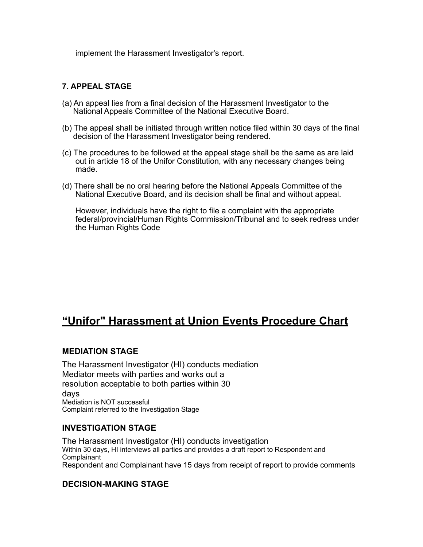implement the Harassment Investigator's report.

#### **7. APPEAL STAGE**

- (a) An appeal lies from a final decision of the Harassment Investigator to the National Appeals Committee of the National Executive Board.
- (b) The appeal shall be initiated through written notice filed within 30 days of the final decision of the Harassment Investigator being rendered.
- (c) The procedures to be followed at the appeal stage shall be the same as are laid out in article 18 of the Unifor Constitution, with any necessary changes being made.
- (d) There shall be no oral hearing before the National Appeals Committee of the National Executive Board, and its decision shall be final and without appeal.

 However, individuals have the right to file a complaint with the appropriate federal/provincial/Human Rights Commission/Tribunal and to seek redress under the Human Rights Code

## **"Unifor" Harassment at Union Events Procedure Chart**

#### **MEDIATION STAGE**

The Harassment Investigator (HI) conducts mediation Mediator meets with parties and works out a resolution acceptable to both parties within 30 days Mediation is NOT successful Complaint referred to the Investigation Stage

#### **INVESTIGATION STAGE**

The Harassment Investigator (HI) conducts investigation Within 30 days, HI interviews all parties and provides a draft report to Respondent and Complainant Respondent and Complainant have 15 days from receipt of report to provide comments

#### **DECISION-MAKING STAGE**